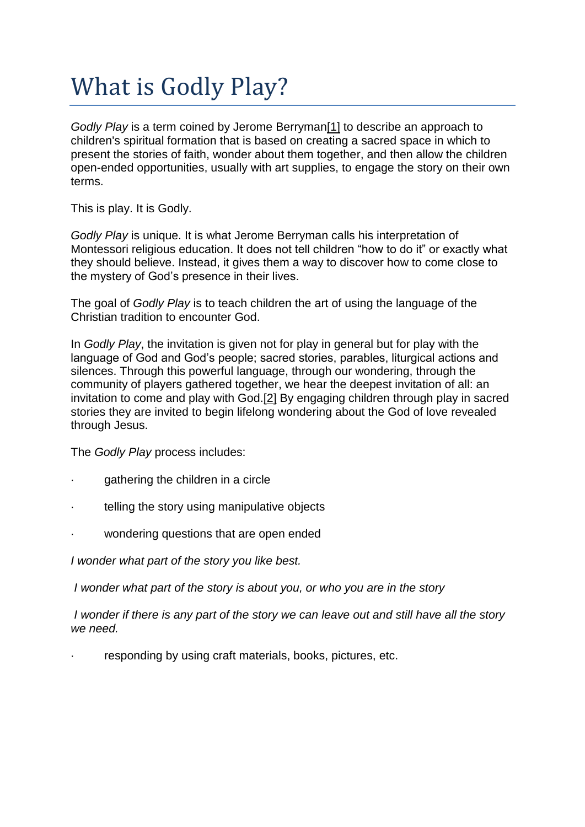# What is Godly Play?

*Godly Play* is a term coined by Jerome Berryma[n\[1\]](http://www.newreligioncurriculum.com/godly-play.html#_ftn1) to describe an approach to children's spiritual formation that is based on creating a sacred space in which to present the stories of faith, wonder about them together, and then allow the children open-ended opportunities, usually with art supplies, to engage the story on their own terms.

This is play. It is Godly.

*Godly Play* is unique. It is what Jerome Berryman calls his interpretation of Montessori religious education. It does not tell children "how to do it" or exactly what they should believe. Instead, it gives them a way to discover how to come close to the mystery of God's presence in their lives.

The goal of *Godly Play* is to teach children the art of using the language of the Christian tradition to encounter God.

In *Godly Play*, the invitation is given not for play in general but for play with the language of God and God's people; sacred stories, parables, liturgical actions and silences. Through this powerful language, through our wondering, through the community of players gathered together, we hear the deepest invitation of all: an invitation to come and play with God[.\[2\]](http://www.newreligioncurriculum.com/godly-play.html#_ftn2) By engaging children through play in sacred stories they are invited to begin lifelong wondering about the God of love revealed through Jesus.

The *Godly Play* process includes:

- gathering the children in a circle
- telling the story using manipulative objects
- wondering questions that are open ended

*I wonder what part of the story you like best.*

*I wonder what part of the story is about you, or who you are in the story*

*I wonder if there is any part of the story we can leave out and still have all the story we need.*

responding by using craft materials, books, pictures, etc.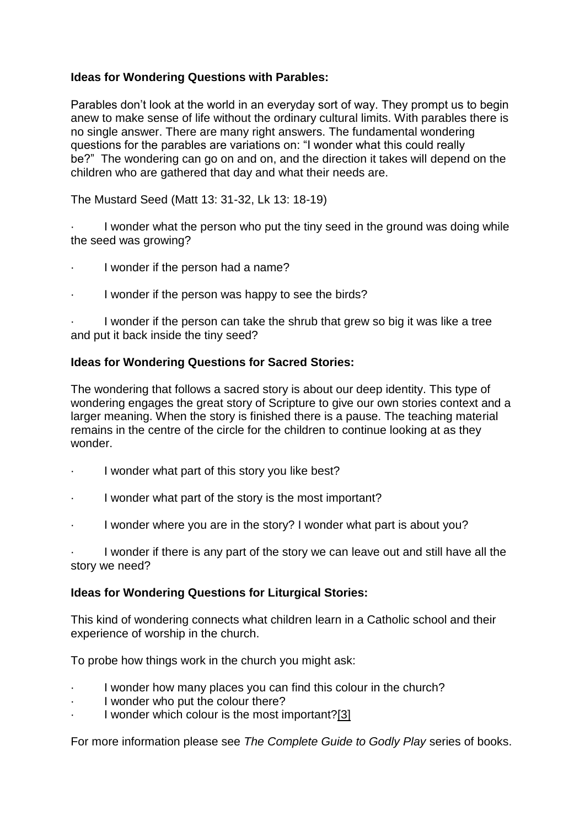## **Ideas for Wondering Questions with Parables:**

Parables don't look at the world in an everyday sort of way. They prompt us to begin anew to make sense of life without the ordinary cultural limits. With parables there is no single answer. There are many right answers. The fundamental wondering questions for the parables are variations on: "I wonder what this could really be?" The wondering can go on and on, and the direction it takes will depend on the children who are gathered that day and what their needs are.

The Mustard Seed (Matt 13: 31-32, Lk 13: 18-19)

I wonder what the person who put the tiny seed in the ground was doing while the seed was growing?

- I wonder if the person had a name?
- · I wonder if the person was happy to see the birds?

I wonder if the person can take the shrub that grew so big it was like a tree and put it back inside the tiny seed?

### **Ideas for Wondering Questions for Sacred Stories:**

The wondering that follows a sacred story is about our deep identity. This type of wondering engages the great story of Scripture to give our own stories context and a larger meaning. When the story is finished there is a pause. The teaching material remains in the centre of the circle for the children to continue looking at as they wonder.

- · I wonder what part of this story you like best?
- I wonder what part of the story is the most important?
- I wonder where you are in the story? I wonder what part is about you?

I wonder if there is any part of the story we can leave out and still have all the story we need?

#### **Ideas for Wondering Questions for Liturgical Stories:**

This kind of wondering connects what children learn in a Catholic school and their experience of worship in the church.

To probe how things work in the church you might ask:

- I wonder how many places you can find this colour in the church?
- I wonder who put the colour there?
- I wonder which colour is the most important[?\[3\]](http://www.newreligioncurriculum.com/godly-play.html#_ftn3)

For more information please see *The Complete Guide to Godly Play* series of books.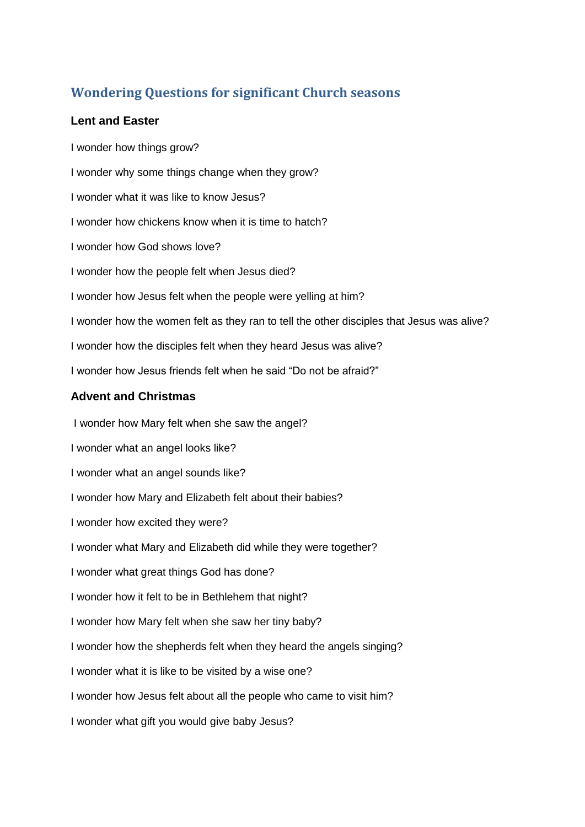# **Wondering Questions for significant Church seasons**

#### **Lent and Easter**

I wonder how things grow? I wonder why some things change when they grow? I wonder what it was like to know Jesus? I wonder how chickens know when it is time to hatch? I wonder how God shows love? I wonder how the people felt when Jesus died? I wonder how Jesus felt when the people were yelling at him? I wonder how the women felt as they ran to tell the other disciples that Jesus was alive? I wonder how the disciples felt when they heard Jesus was alive? I wonder how Jesus friends felt when he said "Do not be afraid?"

#### **Advent and Christmas**

I wonder how Mary felt when she saw the angel? I wonder what an angel looks like? I wonder what an angel sounds like? I wonder how Mary and Elizabeth felt about their babies? I wonder how excited they were? I wonder what Mary and Elizabeth did while they were together? I wonder what great things God has done? I wonder how it felt to be in Bethlehem that night? I wonder how Mary felt when she saw her tiny baby? I wonder how the shepherds felt when they heard the angels singing? I wonder what it is like to be visited by a wise one? I wonder how Jesus felt about all the people who came to visit him? I wonder what gift you would give baby Jesus?